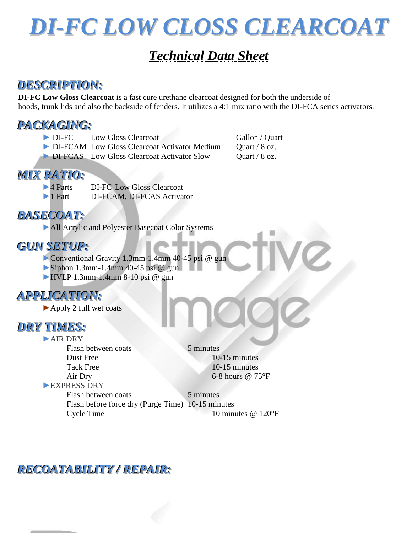

# *Technical Data Sheet*

# *DESCRIPTION:*

**DI-FC Low Gloss Clearcoat** is a fast cure urethane clearcoat designed for both the underside of hoods, trunk lids and also the backside of fenders. It utilizes a 4:1 mix ratio with the DI-FCA series activators.

# *PACKAGING:*

- ▶ DI-FC Low Gloss Clearcoat Gallon / Quart
- ▶ DI-FCAM Low Gloss Clearcoat Activator Medium Quart / 8 oz.
- ► DI-FCAS Low Gloss Clearcoat Activator Slow Quart / 8 oz.

# *MIX RATIO:*

- DI-FC Low Gloss Clearcoat
- ►1 Part DI-FCAM, DI-FCAS Activator

# *BASECOAT:*

►All Acrylic and Polyester Basecoat Color Systems

# *GUN SETUP:*

- ►Conventional Gravity 1.3mm-1.4mm 40-45 psi @ gun
- $\triangleright$  Siphon 1.3mm-1.4mm 40-45 psi @ gun
- $\blacktriangleright$  HVLP 1.3mm-1.4mm 8-10 psi @ gun

# *APPLICATION:*

►Apply 2 full wet coats

## *DRY TIMES:*

►AIR DRY Flash between coats 5 minutes Dust Free 10-15 minutes Tack Free 10-15 minutes Air Dry 6-8 hours @ 75°F ►EXPRESS DRY Flash between coats 5 minutes Flash before force dry (Purge Time) 10-15 minutes Cycle Time 10 minutes @ 120°F

# *RECOATABILITY / REPAIR:*